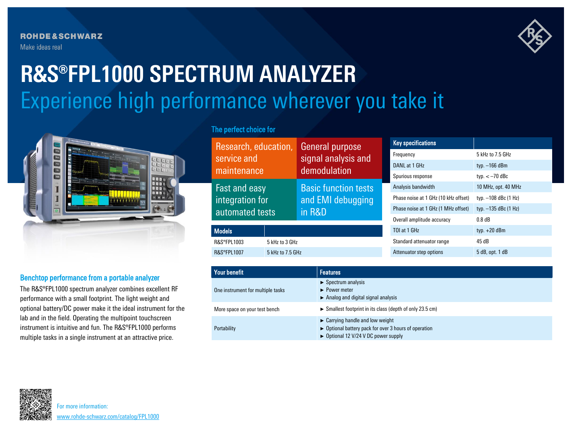**ROHDE&SCHWARZ** Make ideas real



# Experience high performance wherever you take it **R&S®FPL1000 SPECTRUM ANALYZER**



## Benchtop performance from a portable analyzer

The R&S®FPL1000 spectrum analyzer combines excellent RF performance with a small footprint. The light weight and optional battery/DC power make it the ideal instrument for the lab and in the field. Operating the multipoint touchscreen instrument is intuitive and fun. The R&S®FPL1000 performs multiple tasks in a single instrument at an attractive price.

## The perfect choice for

| Research, education,<br>General purpose    |                                                            | <b>Key specifications</b>            |                        |
|--------------------------------------------|------------------------------------------------------------|--------------------------------------|------------------------|
| service and                                | signal analysis and<br>demodulation                        | Frequency                            | 5 kHz to 7.5 GHz       |
|                                            |                                                            | DANL at 1 GHz                        | typ. $-166$ dBm        |
| maintenance                                |                                                            | Spurious response                    | typ. $<-70$ dBc        |
| Fast and easy                              | <b>Basic function tests</b><br>and EMI debugging<br>in R&D | Analysis bandwidth                   | 10 MHz, opt. 40 MHz    |
| integration for                            |                                                            | Phase noise at 1 GHz (10 kHz offset) | typ. -108 dBc (1 Hz)   |
| automated tests                            |                                                            | Phase noise at 1 GHz (1 MHz offset)  | typ. $-135$ dBc (1 Hz) |
|                                            |                                                            | Overall amplitude accuracy           | $0.8$ dB               |
| <b>Models</b>                              |                                                            | TOI at 1 GHz                         | typ. $+20$ dBm         |
| <b>R&amp;S®FPL1003</b>                     | 5 kHz to 3 GHz                                             |                                      | 45 dB                  |
| <b>R&amp;S®FPL1007</b><br>5 kHz to 7.5 GHz |                                                            | Attenuator step options              | 5 dB, opt. 1 dB        |

| Your benefit                      | <b>Features</b>                                                                                                                                                                |  |
|-----------------------------------|--------------------------------------------------------------------------------------------------------------------------------------------------------------------------------|--|
| One instrument for multiple tasks | $\triangleright$ Spectrum analysis<br>$\blacktriangleright$ Power meter<br>$\triangleright$ Analog and digital signal analysis                                                 |  |
| More space on your test bench     | $\triangleright$ Smallest footprint in its class (depth of only 23.5 cm)                                                                                                       |  |
| Portability                       | $\triangleright$ Carrying handle and low weight<br>$\triangleright$ Optional battery pack for over 3 hours of operation<br>$\triangleright$ Optional 12 V/24 V DC power supply |  |